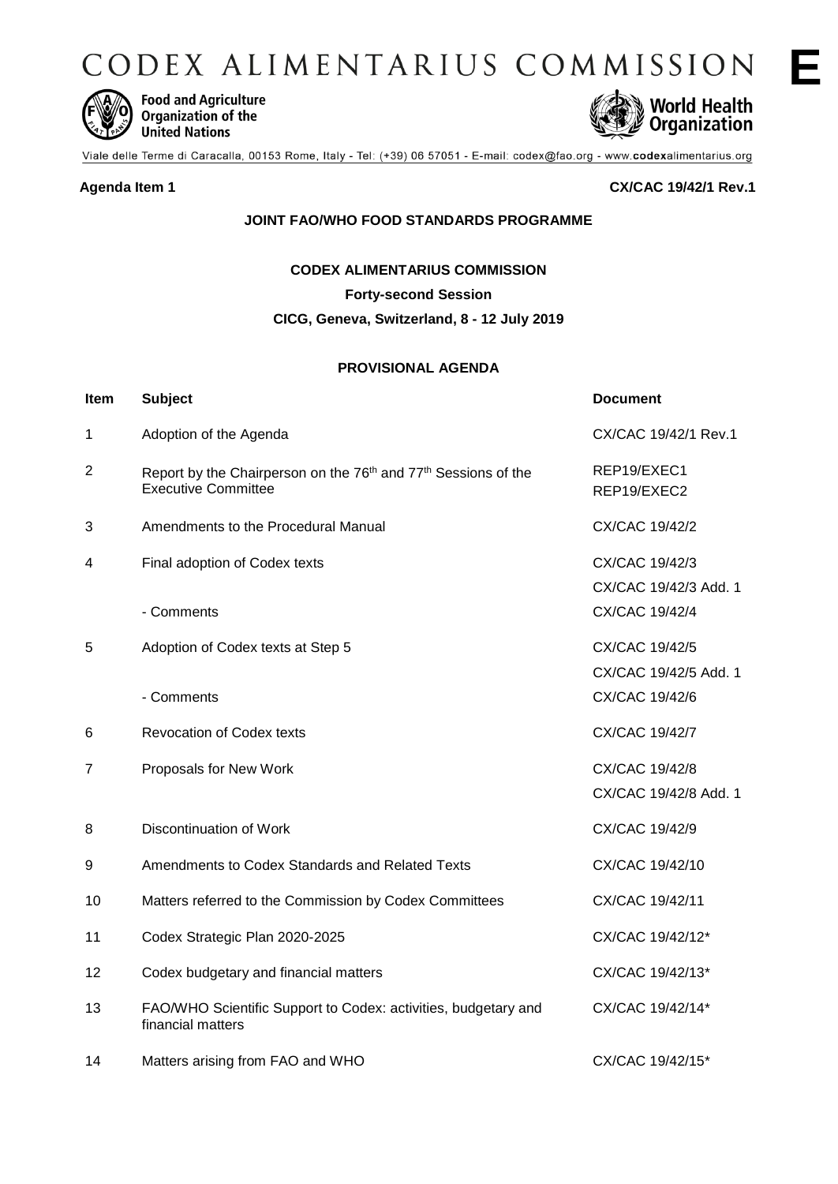CODEX ALIMENTARIUS COMMISSION



**Food and Agriculture** Organization of the **United Nations** 



Viale delle Terme di Caracalla, 00153 Rome, Italy - Tel: (+39) 06 57051 - E-mail: codex@fao.org - www.codexalimentarius.org

**Agenda Item 1 CX/CAC 19/42/1 Rev.1**

## **JOINT FAO/WHO FOOD STANDARDS PROGRAMME**

**CODEX ALIMENTARIUS COMMISSION**

**Forty-second Session**

**CICG, Geneva, Switzerland, 8 - 12 July 2019**

## **PROVISIONAL AGENDA**

| Item           | <b>Subject</b>                                                                                                       | <b>Document</b>                         |
|----------------|----------------------------------------------------------------------------------------------------------------------|-----------------------------------------|
| 1              | Adoption of the Agenda                                                                                               | CX/CAC 19/42/1 Rev.1                    |
| $\overline{2}$ | Report by the Chairperson on the 76 <sup>th</sup> and 77 <sup>th</sup> Sessions of the<br><b>Executive Committee</b> | REP19/EXEC1<br>REP19/EXEC2              |
| 3              | Amendments to the Procedural Manual                                                                                  | CX/CAC 19/42/2                          |
| 4              | Final adoption of Codex texts                                                                                        | CX/CAC 19/42/3<br>CX/CAC 19/42/3 Add. 1 |
|                | - Comments                                                                                                           | CX/CAC 19/42/4                          |
| 5              | Adoption of Codex texts at Step 5                                                                                    | CX/CAC 19/42/5<br>CX/CAC 19/42/5 Add. 1 |
|                | - Comments                                                                                                           | CX/CAC 19/42/6                          |
| 6              | <b>Revocation of Codex texts</b>                                                                                     | CX/CAC 19/42/7                          |
| 7              | Proposals for New Work                                                                                               | CX/CAC 19/42/8<br>CX/CAC 19/42/8 Add. 1 |
| 8              | Discontinuation of Work                                                                                              | CX/CAC 19/42/9                          |
| 9              | Amendments to Codex Standards and Related Texts                                                                      | CX/CAC 19/42/10                         |
| 10             | Matters referred to the Commission by Codex Committees                                                               | CX/CAC 19/42/11                         |
| 11             | Codex Strategic Plan 2020-2025                                                                                       | CX/CAC 19/42/12*                        |
| 12             | Codex budgetary and financial matters                                                                                | CX/CAC 19/42/13*                        |
| 13             | FAO/WHO Scientific Support to Codex: activities, budgetary and<br>financial matters                                  | CX/CAC 19/42/14*                        |
| 14             | Matters arising from FAO and WHO                                                                                     | CX/CAC 19/42/15*                        |